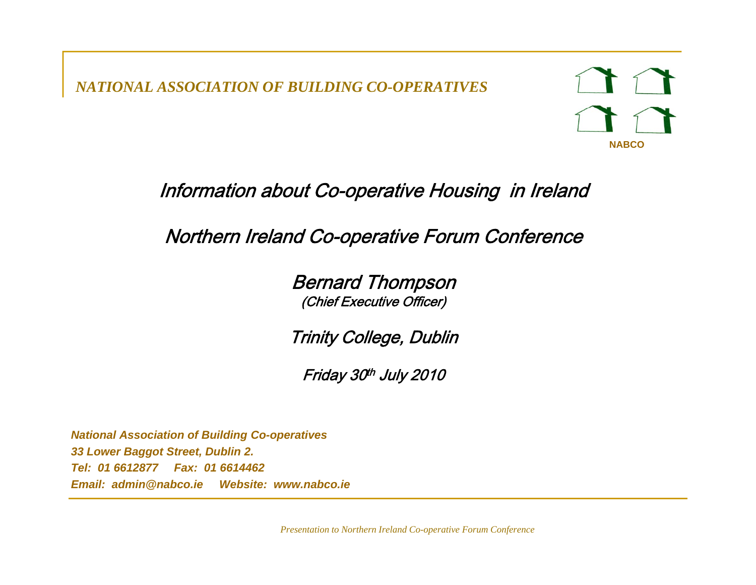*NATIONAL ASSOCIATION OF BUILDING CO-OPERATIVES*



### Information about Co-operative Housing in Ireland

### Northern Ireland Co-operative Forum Conference

Bernard Thompson (Chief Executive Officer)

Trinity College, Dublin

Friday 30th July 2010

*National Association of Building Co-operatives 33 Lower Baggot Street, Dublin 2. Tel: 01 6612877 Fax: 01 6614462 Email: admin@nabco.ie Website: www.nabco.ie*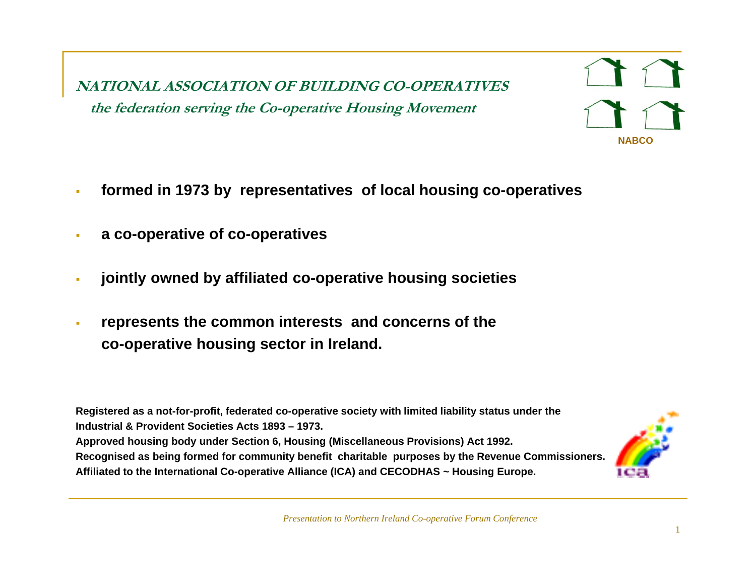**NATIONAL ASSOCIATION OF BUILDING CO-OPERATIVES the federation serving the Co Co-operative Housing Movement operative**

- à. **formed in 1973 by representatives of local housing co-operatives**
- **a co-operative of co-operatives**
- × **jointly owned by affiliated co-operative housing societies**
- $\blacksquare$ **EXA)** represents the common interests and concerns of the **co-operative housing sector in Ireland.**

**Registered as a not-for-profit, federated co-operative society with limited liability status under the Industrial & Provident Societies Acts 1893 – 1973.Approved housing body under Section 6, Housing (Miscellaneous Provisions) Act 1992. Recognised as being formed for community benefit charitable purposes by the Revenue Commissioners. Affiliated to the International Co-o perative Alliance (ICA) and CECODHAS ~ Housin g Euro pe. p () g p**



**NABCO**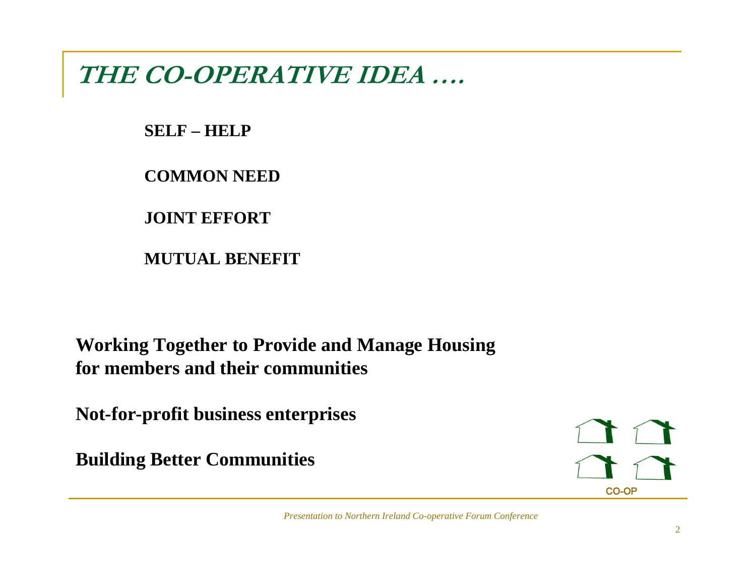**THE CO-OPERATIVE IDEA ….**

**SELF – HELP**

**COMMON NEED**

**JOINT EFFORT**

**MUTUAL BENEFIT**

**Working Together to Provide and Manage Housing for members and their communities**

**Not-for-profit business enterprises**

**Building Better Communities** 

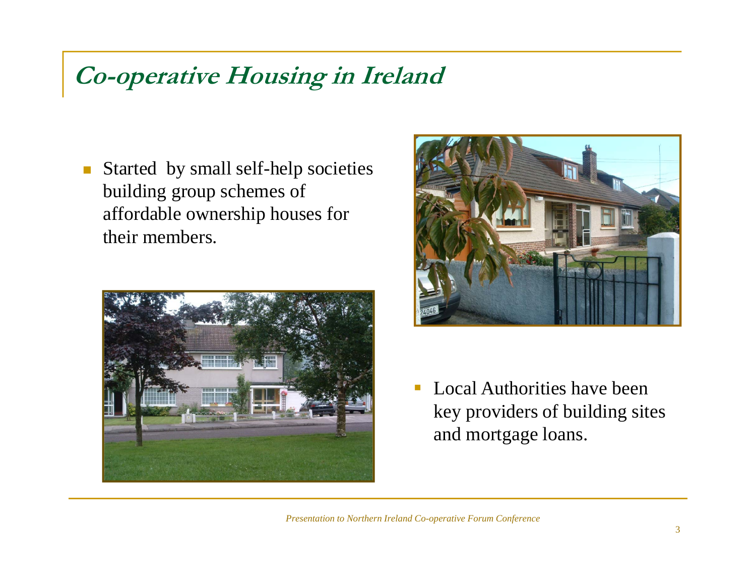## **Co-operative Housing in Ireland**

 $\mathcal{L}_{\mathcal{A}}$  Started by small self-help societies building group schemes of affordable ownership houses for their members.





 $\overline{\phantom{a}}$  Local Authorities have been key providers of building sites and mortgage loans.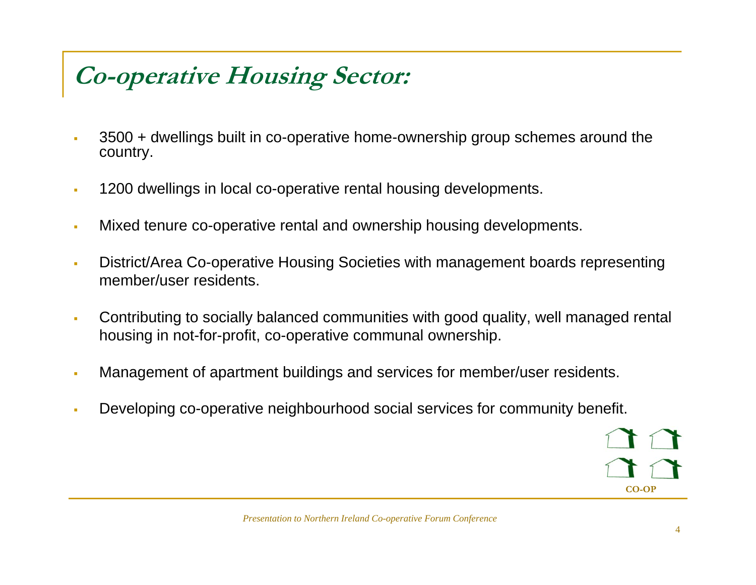# **Co-operative Housing Sector:**

- $\blacksquare$  3500 + dwellings built in co-operative home-ownership group schemes around the country.
- $\blacksquare$ 1200 dwellings in local co-operative rental housing developments.
- $\blacksquare$ Mixed tenure co-operative rental and ownership housing developments.
- $\blacksquare$  District/Area Co-operative Housing Societies with management boards representing member/user residents.
- à. Contributing to socially balanced communities with good quality, well managed rental housing in not-for-profit, co-operative communal ownership.
- $\blacksquare$ Management of apartment buildings and services for member/user residents.
- $\blacksquare$ Developing co-operative neighbourhood social services for community benefit.

**CO-OP**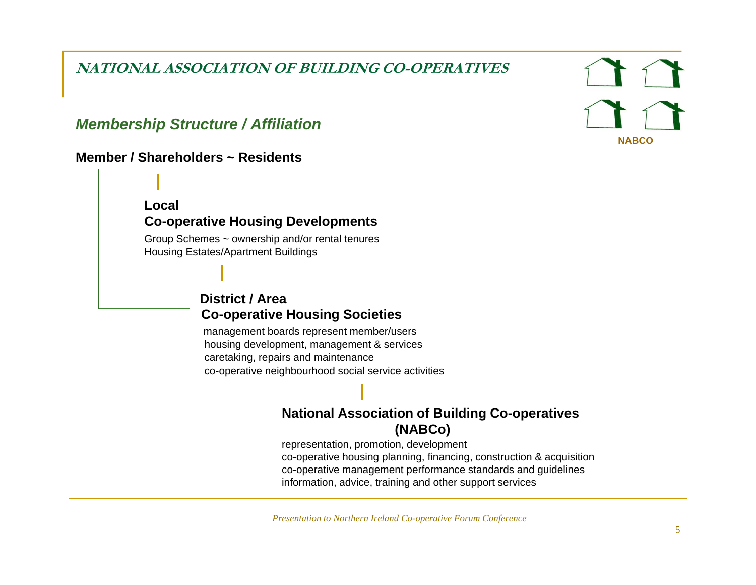**NATIONAL ASSOCIATION OF BUILDING CO-OPERATIVES** 

#### *Membership Structure / Affiliation*

#### **Member / Shareholders ~ Residents**

**Local**

#### **Co-operative Housing Developments**

Group Schemes ~ ownership and/or rental tenures Housing Estates/Apartment Buildings

#### **District / AreaCo-operative Housing Societies**

management boards represent member/users housing development, management & services caretaking, repairs and maintenance co-operative neighbourhood social service activities

#### **National Association of Building Co-operatives (NABCo)**

representation, promotion, development co-operative housing planning, financing, construction & acquisition co-operative management performance standards and guidelines information, advice, training and other support services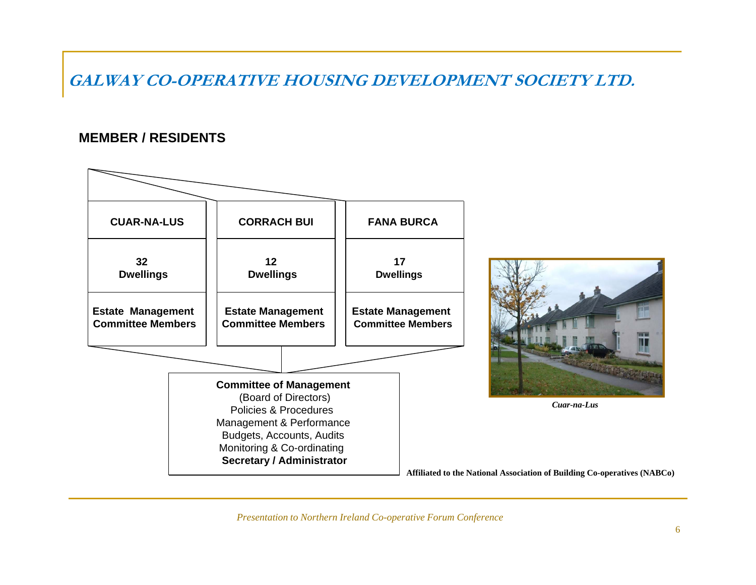**GALWAY CO-OPERATIVE HOUSING DEVELOPMENT SOCIETY LTD.**

#### **MEMBER / RESIDENTS**



*Presentation to Northern Ireland Co-operative Forum Conference*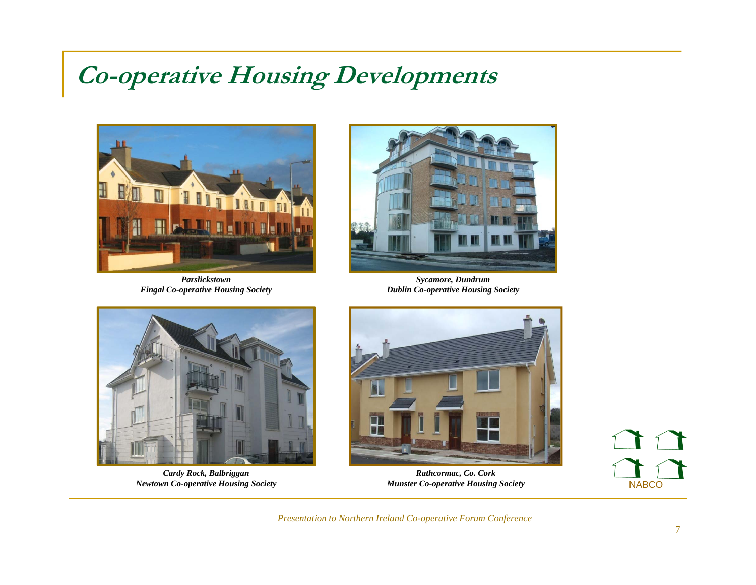## **Co-operative Housing Developments**



*Parslickstown Fingal Co-operative Housing Society*



*Sycamore, Dundrum Dublin Co-operative Housing Society*



*Cardy Rock, Balbriggan y , gg Newtown Co-operative Housing Society* 



*Rathcormac, Co. Cork , Munster Co-operative Housing Society*

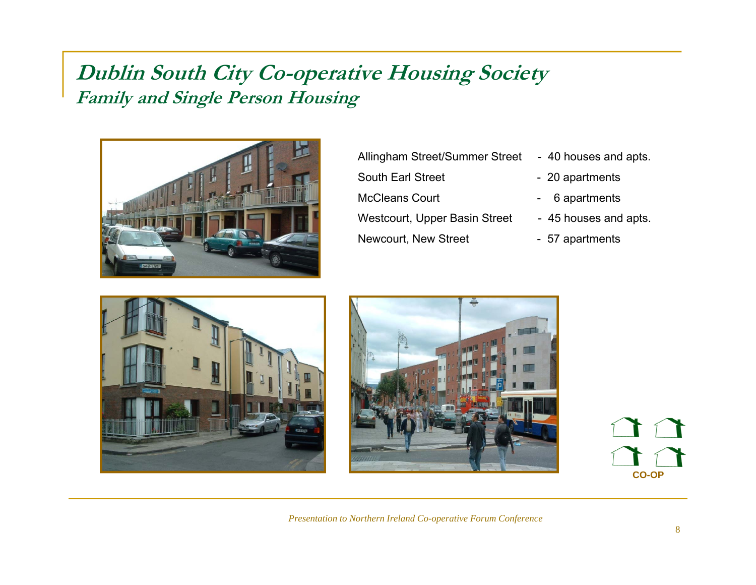### **Dublin South City Co-operative Housing Society Family and Single Person Housing**



Allingham Street/Summer Street - 40 houses and apts. South Earl Street McCleans Court - 6 apartments Westcourt, Upper Basin Street - 45 houses and apts. Newcourt, New Street - 57 apartments

- 
- 20 apartments
- 
- 
- 





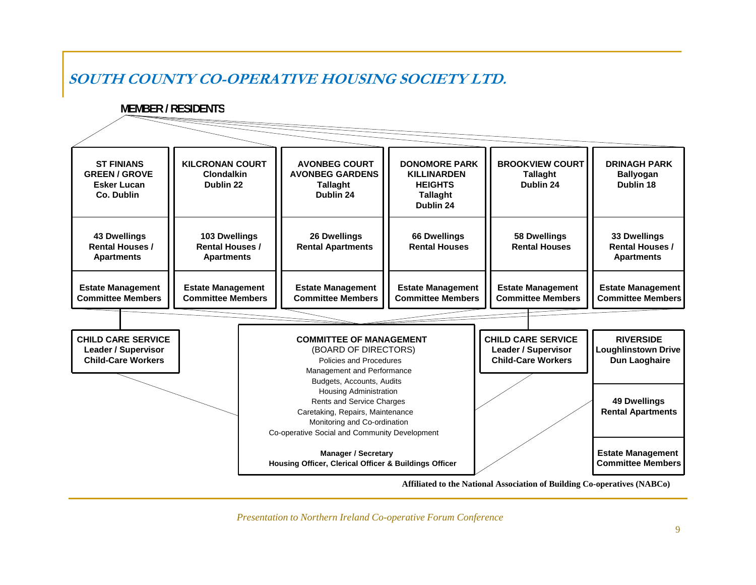#### **SOUTH COUNTY CO-OPERATIVE HOUSING SOCIETY LTD.**

#### **MEMBER / RESIDENTS**

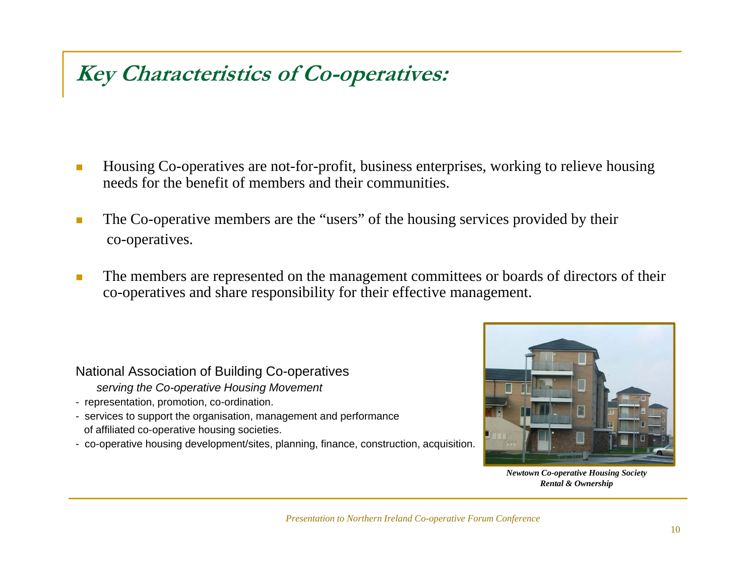## **Key Characteristics of Co-operatives:**

- $\overline{\mathbb{R}}$  Housing Co-operatives are not-for-profit, business enterprises, working to relieve housing needs for the benefit of members and their communities.
- The Co-operative members are the "users" of the housing services provided by their co-operatives.
- $\mathcal{C}^{\mathcal{A}}$  The members are represented on the management committees or boards of directors of their co-operatives and share responsibility for their effective management.

#### National Association of Building Co-operatives

- *serving the Co-operative Housing Movement*
- representation, promotion, co-ordination.
- services to support the organisation, management and performance of affiliated co-operative housing societies.
- co-operative housing development/sites, planning, finance, construction, acquisition.



*Newtown Co-operative Housin g Society Rental & Ownership*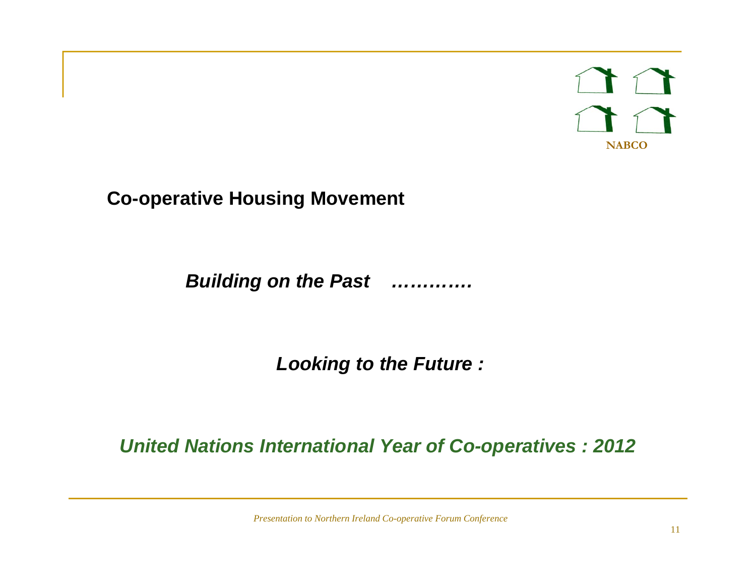**NABCO**

**Co-operative Housing Movement**

*Building on the Past ………….*

*Looking to the Future :*

*United Nations International Year of Co-operatives : 2012*